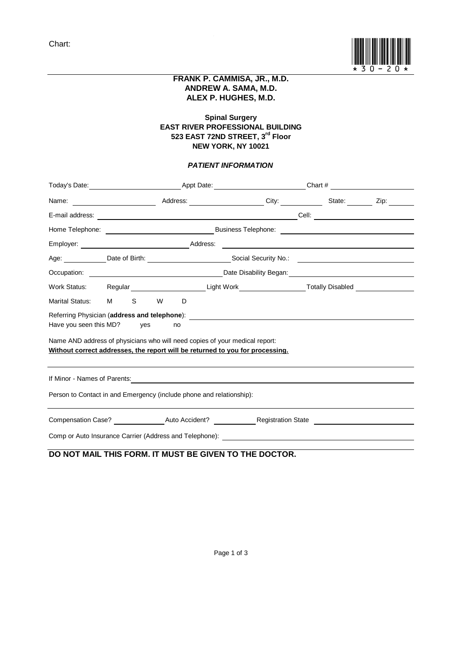

## **FRANK P. CAMMISA, JR., M.D. ANDREW A. SAMA, M.D. ALEX P. HUGHES, M.D.**

#### **Spinal Surgery EAST RIVER PROFESSIONAL BUILDING 523 EAST 72ND STREET, 3rd Floor NEW YORK, NY 10021**

# *PATIENT INFORMATION*

|                                                                                                                                                                                                                               | Today's Date: The Contract of the Contract of the Contract of the Contract of the Contract of the Contract of the Contract of the Contract of the Contract of the Contract of the Contract of the Contract of the Contract of |   |   |          | Chart # |                                                                                                                      |  |  |  |
|-------------------------------------------------------------------------------------------------------------------------------------------------------------------------------------------------------------------------------|-------------------------------------------------------------------------------------------------------------------------------------------------------------------------------------------------------------------------------|---|---|----------|---------|----------------------------------------------------------------------------------------------------------------------|--|--|--|
| Name: Name: Note and Address: Note and Address: Name: Name: Name: Name: Name: Name: Name: Name: Name: Name: Name: Name: Name: Name: Name: Name: Name: Name: Name: Name: Name: Name: Name: Name: Name: Name: Name: Name: Name: |                                                                                                                                                                                                                               |   |   |          |         |                                                                                                                      |  |  |  |
|                                                                                                                                                                                                                               |                                                                                                                                                                                                                               |   |   |          |         |                                                                                                                      |  |  |  |
| Home Telephone: <u>contract and the manufacture of</u>                                                                                                                                                                        |                                                                                                                                                                                                                               |   |   |          |         |                                                                                                                      |  |  |  |
|                                                                                                                                                                                                                               |                                                                                                                                                                                                                               |   |   | Address: |         | <u> 1989 - Johann John Stein, markin film og forsk forskellige og forskellige og forskellige og forskellige og f</u> |  |  |  |
|                                                                                                                                                                                                                               |                                                                                                                                                                                                                               |   |   |          |         |                                                                                                                      |  |  |  |
|                                                                                                                                                                                                                               |                                                                                                                                                                                                                               |   |   |          |         |                                                                                                                      |  |  |  |
| Work Status: Regular Negular New York Nork Nork Norman Totally Disabled Negative Control of Negative Australia                                                                                                                |                                                                                                                                                                                                                               |   |   |          |         |                                                                                                                      |  |  |  |
| <b>Marital Status:</b>                                                                                                                                                                                                        | M                                                                                                                                                                                                                             | S | W | D        |         |                                                                                                                      |  |  |  |
| Referring Physician (address and telephone): \\espirit \\espirit \\espirit \\espirit \\espirit \\espirit \\espiri<br>Have you seen this MD? yes<br>no                                                                         |                                                                                                                                                                                                                               |   |   |          |         |                                                                                                                      |  |  |  |
| Name AND address of physicians who will need copies of your medical report:<br>Without correct addresses, the report will be returned to you for processing.                                                                  |                                                                                                                                                                                                                               |   |   |          |         |                                                                                                                      |  |  |  |
|                                                                                                                                                                                                                               |                                                                                                                                                                                                                               |   |   |          |         |                                                                                                                      |  |  |  |
| Person to Contact in and Emergency (include phone and relationship):                                                                                                                                                          |                                                                                                                                                                                                                               |   |   |          |         |                                                                                                                      |  |  |  |
|                                                                                                                                                                                                                               |                                                                                                                                                                                                                               |   |   |          |         |                                                                                                                      |  |  |  |
| Comp or Auto Insurance Carrier (Address and Telephone): _________________________                                                                                                                                             |                                                                                                                                                                                                                               |   |   |          |         |                                                                                                                      |  |  |  |

# **DO NOT MAIL THIS FORM. IT MUST BE GIVEN TO THE DOCTOR.**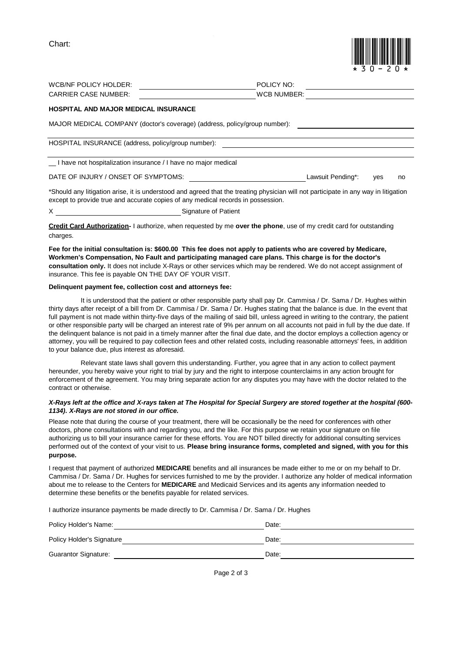| iar |  |
|-----|--|
|-----|--|



| WCB/NF POLICY HOLDER:                                                            | POLICY NO:                                                                                                                          |
|----------------------------------------------------------------------------------|-------------------------------------------------------------------------------------------------------------------------------------|
| <b>CARRIER CASE NUMBER:</b>                                                      | <b>WCB NUMBER:</b>                                                                                                                  |
| <b>HOSPITAL AND MAJOR MEDICAL INSURANCE</b>                                      |                                                                                                                                     |
| MAJOR MEDICAL COMPANY (doctor's coverage) (address, policy/group number):        |                                                                                                                                     |
| HOSPITAL INSURANCE (address, policy/group number):                               |                                                                                                                                     |
|                                                                                  |                                                                                                                                     |
| I have not hospitalization insurance / I have no major medical                   |                                                                                                                                     |
| DATE OF INJURY / ONSET OF SYMPTOMS:                                              | Lawsuit Pending*:<br>ves<br>no                                                                                                      |
| except to provide true and accurate copies of any medical records in possession. | *Should any litigation arise, it is understood and agreed that the treating physician will not participate in any way in litigation |

X Signature of Patient

**Credit Card Authorization-** I authorize, when requested by me **over the phone**, use of my credit card for outstanding charges.

**Fee for the initial consultation is: \$600.00 This fee does not apply to patients who are covered by Medicare, Workmen's Compensation, No Fault and participating managed care plans. This charge is for the doctor's consultation only.** It does not include X-Rays or other services which may be rendered. We do not accept assignment of insurance. This fee is payable ON THE DAY OF YOUR VISIT.

#### **Delinquent payment fee, collection cost and attorneys fee:**

It is understood that the patient or other responsible party shall pay Dr. Cammisa / Dr. Sama / Dr. Hughes within thirty days after receipt of a bill from Dr. Cammisa / Dr. Sama / Dr. Hughes stating that the balance is due. In the event that full payment is not made within thirty-five days of the mailing of said bill, unless agreed in writing to the contrary, the patient or other responsible party will be charged an interest rate of 9% per annum on all accounts not paid in full by the due date. If the delinquent balance is not paid in a timely manner after the final due date, and the doctor employs a collection agency or attorney, you will be required to pay collection fees and other related costs, including reasonable attorneys' fees, in addition to your balance due, plus interest as aforesaid.

Relevant state laws shall govern this understanding. Further, you agree that in any action to collect payment hereunder, you hereby waive your right to trial by jury and the right to interpose counterclaims in any action brought for enforcement of the agreement. You may bring separate action for any disputes you may have with the doctor related to the contract or otherwise.

#### *X-Rays left at the office and X-rays taken at The Hospital for Special Surgery are stored together at the hospital (600- 1134). X-Rays are not stored in our office.*

Please note that during the course of your treatment, there will be occasionally be the need for conferences with other doctors, phone consultations with and regarding you, and the like. For this purpose we retain your signature on file authorizing us to bill your insurance carrier for these efforts. You are NOT billed directly for additional consulting services performed out of the context of your visit to us. **Please bring insurance forms, completed and signed, with you for this purpose.**

I request that payment of authorized **MEDICARE** benefits and all insurances be made either to me or on my behalf to Dr. Cammisa / Dr. Sama / Dr. Hughes for services furnished to me by the provider. I authorize any holder of medical information about me to release to the Centers for **MEDICARE** and Medicaid Services and its agents any information needed to determine these benefits or the benefits payable for related services.

I authorize insurance payments be made directly to Dr. Cammisa / Dr. Sama / Dr. Hughes

| Policy Holder's Name:       | Date: |
|-----------------------------|-------|
| Policy Holder's Signature   | Date: |
| <b>Guarantor Signature:</b> | Date: |

Page 2 of 3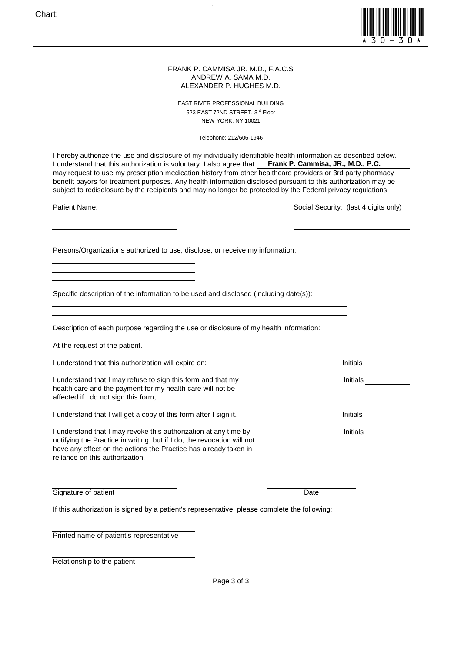Chart:



#### ANDREW A. SAMA M.D. ALEXANDER P. HUGHES M.D. FRANK P. CAMMISA JR. M.D., F.A.C.S

523 EAST 72ND STREET, 3<sup>rd</sup> Floor NEW YORK, NY 10021 EAST RIVER PROFESSIONAL BUILDING

> -- Telephone: 212/606-1946

I hereby authorize the use and disclosure of my individually identifiable health information as described below. I understand that this authorization is voluntary. I also agree that **Frank P. Cammisa, JR., M.D., P.C.** may request to use my prescription medication history from other healthcare providers or 3rd party pharmacy benefit payors for treatment purposes. Any health information disclosed pursuant to this authorization may be subject to redisclosure by the recipients and may no longer be protected by the Federal privacy regulations.

Patient Name: **Patient Name:** Social Security: (last 4 digits only)

Persons/Organizations authorized to use, disclose, or receive my information:

Specific description of the information to be used and disclosed (including date(s)):

Description of each purpose regarding the use or disclosure of my health information:

At the request of the patient.

| I understand that this authorization will expire on:                                                                                                                                                                                               | Initials        |  |
|----------------------------------------------------------------------------------------------------------------------------------------------------------------------------------------------------------------------------------------------------|-----------------|--|
| I understand that I may refuse to sign this form and that my<br>health care and the payment for my health care will not be<br>affected if I do not sign this form,                                                                                 | <b>Initials</b> |  |
| I understand that I will get a copy of this form after I sign it.                                                                                                                                                                                  | <b>Initials</b> |  |
| I understand that I may revoke this authorization at any time by<br>notifying the Practice in writing, but if I do, the revocation will not<br>have any effect on the actions the Practice has already taken in<br>reliance on this authorization. | <b>Initials</b> |  |

Signature of patient

**Date** 

If this authorization is signed by a patient's representative, please complete the following:

Printed name of patient's representative

Relationship to the patient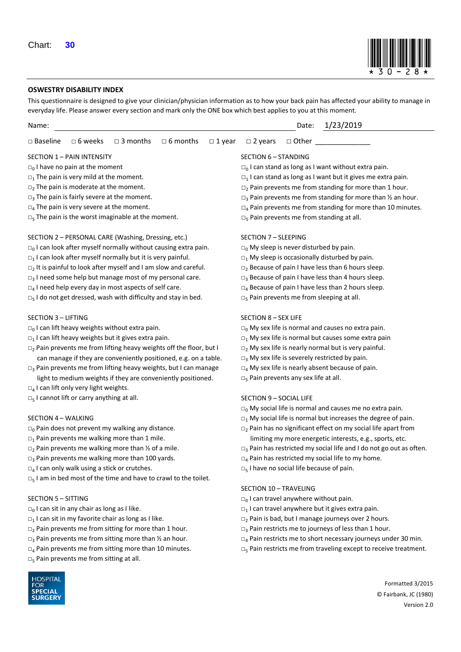

#### **OSWESTRY DISABILITY INDEX**

This questionnaire is designed to give your clinician/physician information as to how your back pain has affected your ability to manage in everyday life. Please answer every section and mark only the ONE box which best applies to you at this moment.

| Name:                                                                                       | 1/23/2019<br>Date:                                                                        |
|---------------------------------------------------------------------------------------------|-------------------------------------------------------------------------------------------|
| $\square$ Baseline<br>$\Box$ 6 weeks<br>$\Box$ 3 months<br>$\Box$ 6 months<br>$\Box$ 1 year | $\square$ 2 years<br>$\Box$ Other                                                         |
| SECTION 1 - PAIN INTENSITY                                                                  | SECTION 6 - STANDING                                                                      |
| $\square_0$ I have no pain at the moment                                                    | $\square_0$ I can stand as long as I want without extra pain.                             |
| $\Box_1$ The pain is very mild at the moment.                                               | $\Box$ <sub>1</sub> I can stand as long as I want but it gives me extra pain.             |
| $\Box_2$ The pain is moderate at the moment.                                                | $\Box$ <sub>2</sub> Pain prevents me from standing for more than 1 hour.                  |
| $\Box$ <sub>3</sub> The pain is fairly severe at the moment.                                | $\Box$ <sub>3</sub> Pain prevents me from standing for more than $\frac{1}{2}$ an hour.   |
| $\square_4$ The pain is very severe at the moment.                                          | $\Box_4$ Pain prevents me from standing for more than 10 minutes.                         |
| $\square_5$ The pain is the worst imaginable at the moment.                                 | $\square$ <sub>5</sub> Pain prevents me from standing at all.                             |
| SECTION 2 - PERSONAL CARE (Washing, Dressing, etc.)                                         | SECTION 7 - SLEEPING                                                                      |
| $\square_0$ I can look after myself normally without causing extra pain.                    | $\square_0$ My sleep is never disturbed by pain.                                          |
| $\Box_1$ I can look after myself normally but it is very painful.                           | $\Box_1$ My sleep is occasionally disturbed by pain.                                      |
| $\Box$ <sub>2</sub> It is painful to look after myself and I am slow and careful.           | $\Box_2$ Because of pain I have less than 6 hours sleep.                                  |
| $\Box$ <sub>3</sub> I need some help but manage most of my personal care.                   | $\square$ <sub>3</sub> Because of pain I have less than 4 hours sleep.                    |
| $\square$ <sub>4</sub> I need help every day in most aspects of self care.                  | $\square_4$ Because of pain I have less than 2 hours sleep.                               |
| $\square$ <sub>5</sub> I do not get dressed, wash with difficulty and stay in bed.          | $\square$ <sub>5</sub> Pain prevents me from sleeping at all.                             |
| SECTION 3 - LIFTING                                                                         | SECTION 8 - SEX LIFE                                                                      |
| $\square_0$ I can lift heavy weights without extra pain.                                    | $\square_0$ My sex life is normal and causes no extra pain.                               |
| $\Box_1$ I can lift heavy weights but it gives extra pain.                                  | $\Box_1$ My sex life is normal but causes some extra pain                                 |
| $\Box$ <sub>2</sub> Pain prevents me from lifting heavy weights off the floor, but I        | $\Box_2$ My sex life is nearly normal but is very painful.                                |
| can manage if they are conveniently positioned, e.g. on a table.                            | $\square$ <sub>3</sub> My sex life is severely restricted by pain.                        |
| $\Box$ <sub>3</sub> Pain prevents me from lifting heavy weights, but I can manage           | $\square_4$ My sex life is nearly absent because of pain.                                 |
| light to medium weights if they are conveniently positioned.                                | $\square$ <sub>5</sub> Pain prevents any sex life at all.                                 |
| $\square$ <sub>4</sub> I can lift only very light weights.                                  |                                                                                           |
| $\square_5$ I cannot lift or carry anything at all.                                         | SECTION 9 - SOCIAL LIFE<br>$\Box_0$ My social life is normal and causes me no extra pain. |
| SECTION 4 - WALKING                                                                         | $\Box_1$ My social life is normal but increases the degree of pain.                       |
| $\square_0$ Pain does not prevent my walking any distance.                                  | $\Box$ <sub>2</sub> Pain has no significant effect on my social life apart from           |
| $\square_1$ Pain prevents me walking more than 1 mile.                                      | limiting my more energetic interests, e.g., sports, etc.                                  |
| $\Box$ <sub>2</sub> Pain prevents me walking more than $\frac{1}{2}$ of a mile.             | $\square$ <sub>3</sub> Pain has restricted my social life and I do not go out as often.   |
| $\Box$ <sub>3</sub> Pain prevents me walking more than 100 yards.                           | $\square$ <sub>4</sub> Pain has restricted my social life to my home.                     |
| $\square$ <sub>4</sub> I can only walk using a stick or crutches.                           | $\square$ <sub>5</sub> I have no social life because of pain.                             |
| $\square$ <sub>5</sub> I am in bed most of the time and have to crawl to the toilet.        |                                                                                           |
|                                                                                             | SECTION 10 - TRAVELING                                                                    |
| <b>SECTION 5 - SITTING</b>                                                                  | $\square_0$ I can travel anywhere without pain.                                           |
| $\square_0$ I can sit in any chair as long as I like.                                       | $\Box$ <sub>1</sub> I can travel anywhere but it gives extra pain.                        |
| $\Box$ <sub>1</sub> I can sit in my favorite chair as long as I like.                       | $\Box$ <sub>2</sub> Pain is bad, but I manage journeys over 2 hours.                      |
| $\Box$ <sub>2</sub> Pain prevents me from sitting for more than 1 hour.                     | $\square$ <sub>3</sub> Pain restricts me to journeys of less than 1 hour.                 |
| $\square$ <sub>3</sub> Pain prevents me from sitting more than $\frac{1}{2}$ an hour.       | $\square_4$ Pain restricts me to short necessary journeys under 30 min.                   |
| $\square_4$ Pain prevents me from sitting more than 10 minutes.                             | $\square$ <sub>5</sub> Pain restricts me from traveling except to receive treatment.      |
| $\square$ <sub>5</sub> Pain prevents me from sitting at all.                                |                                                                                           |
| HOSPITAL                                                                                    | Formatted 3/2015                                                                          |
| FOR<br>SPECIAL<br><b>SURGERY</b>                                                            | © Fairbank, JC (1980)                                                                     |

Version 2.0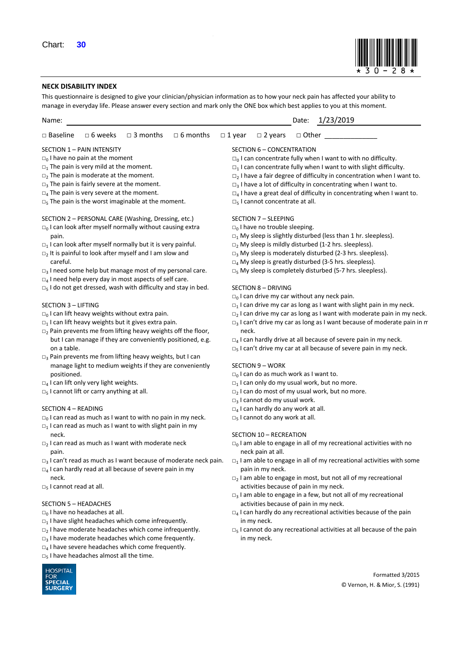

© Vernon, H. & Mior, S. (1991)

#### **NECK DISABILITY INDEX**

This questionnaire is designed to give your clinician/physician information as to how your neck pain has affected your ability to manage in everyday life. Please answer every section and mark only the ONE box which best applies to you at this moment.

| Name:                                                                             | 1/23/2019<br>Date:                                                                       |
|-----------------------------------------------------------------------------------|------------------------------------------------------------------------------------------|
| $\Box$ 3 months<br>$\Box$ 6 months<br>$\Box$ Baseline<br>$\Box$ 6 weeks           | $\Box$ 1 year<br>$\Box$ 2 years<br>□ Other                                               |
| SECTION 1 - PAIN INTENSITY                                                        | SECTION 6 - CONCENTRATION                                                                |
| $\square_0$ I have no pain at the moment                                          | $\square_0$ I can concentrate fully when I want to with no difficulty.                   |
| $\Box_1$ The pain is very mild at the moment.                                     | $\Box_1$ I can concentrate fully when I want to with slight difficulty.                  |
| $\Box_2$ The pain is moderate at the moment.                                      | $\Box$ <sub>2</sub> I have a fair degree of difficulty in concentration when I want to.  |
| $\Box$ <sub>3</sub> The pain is fairly severe at the moment.                      | $\Box$ <sub>3</sub> I have a lot of difficulty in concentrating when I want to.          |
| $\Box_4$ The pain is very severe at the moment.                                   | $\Box_4$ I have a great deal of difficulty in concentrating when I want to.              |
| $\Box$ <sub>5</sub> The pain is the worst imaginable at the moment.               | $\square_5$ I cannot concentrate at all.                                                 |
| SECTION 2 - PERSONAL CARE (Washing, Dressing, etc.)                               | SECTION 7 - SLEEPING                                                                     |
| $\Box_0$ I can look after myself normally without causing extra                   | $\square_0$ I have no trouble sleeping.                                                  |
| pain.                                                                             | $\Box_1$ My sleep is slightly disturbed (less than 1 hr. sleepless).                     |
| $\Box_1$ I can look after myself normally but it is very painful.                 | $\Box$ <sub>2</sub> My sleep is mildly disturbed (1-2 hrs. sleepless).                   |
| $\Box$ <sub>2</sub> It is painful to look after myself and I am slow and          | $\Box$ <sub>3</sub> My sleep is moderately disturbed (2-3 hrs. sleepless).               |
| careful.                                                                          | $\square_4$ My sleep is greatly disturbed (3-5 hrs. sleepless).                          |
| $\Box$ <sub>3</sub> I need some help but manage most of my personal care.         | $\square_5$ My sleep is completely disturbed (5-7 hrs. sleepless).                       |
| $\Box_4$ I need help every day in most aspects of self care.                      |                                                                                          |
| $\Box$ <sub>5</sub> I do not get dressed, wash with difficulty and stay in bed.   | SECTION 8 - DRIVING                                                                      |
|                                                                                   | $\Box_0$ I can drive my car without any neck pain.                                       |
| SECTION 3 - LIFTING                                                               | $\Box$ <sub>1</sub> I can drive my car as long as I want with slight pain in my neck.    |
| $\square_0$ I can lift heavy weights without extra pain.                          | $\Box$ <sub>2</sub> I can drive my car as long as I want with moderate pain in my neck.  |
| $\Box$ <sub>1</sub> I can lift heavy weights but it gives extra pain.             | $\Box$ <sub>3</sub> I can't drive my car as long as I want because of moderate pain in m |
| $\Box_2$ Pain prevents me from lifting heavy weights off the floor,               | neck.                                                                                    |
| but I can manage if they are conveniently positioned, e.g.                        | $\Box_4$ I can hardly drive at all because of severe pain in my neck.                    |
| on a table.                                                                       | $\Box$ <sub>5</sub> I can't drive my car at all because of severe pain in my neck.       |
| $\Box_3$ Pain prevents me from lifting heavy weights, but I can                   |                                                                                          |
| manage light to medium weights if they are conveniently                           | SECTION 9 - WORK                                                                         |
| positioned.                                                                       | $\square_0$ I can do as much work as I want to.                                          |
| $\square_4$ I can lift only very light weights.                                   | $\Box_1$ I can only do my usual work, but no more.                                       |
| $\square$ <sub>5</sub> I cannot lift or carry anything at all.                    | $\Box$ <sub>2</sub> I can do most of my usual work, but no more.                         |
|                                                                                   | $\square$ <sub>3</sub> I cannot do my usual work.                                        |
| SECTION 4 - READING                                                               | $\square$ <sub>4</sub> I can hardly do any work at all.                                  |
| $\Box_0$ I can read as much as I want to with no pain in my neck.                 | $\square$ <sub>5</sub> I cannot do any work at all.                                      |
| $\Box_1$ I can read as much as I want to with slight pain in my<br>neck.          | SECTION 10 - RECREATION                                                                  |
| $\Box$ <sub>2</sub> I can read as much as I want with moderate neck               | $\Box_0$ I am able to engage in all of my recreational activities with no                |
| pain.                                                                             | neck pain at all.                                                                        |
| $\Box$ <sub>3</sub> I can't read as much as I want because of moderate neck pain. | $\Box$ <sub>1</sub> I am able to engage in all of my recreational activities with some   |
| $\Box_4$ I can hardly read at all because of severe pain in my                    | pain in my neck.                                                                         |
| neck.                                                                             | $\Box$ <sub>2</sub> I am able to engage in most, but not all of my recreational          |
| $\square$ <sub>5</sub> I cannot read at all.                                      | activities because of pain in my neck.                                                   |
|                                                                                   | $\Box$ <sub>3</sub> I am able to engage in a few, but not all of my recreational         |
| SECTION 5 - HEADACHES                                                             | activities because of pain in my neck.                                                   |
| $\square_0$ I have no headaches at all.                                           | $\Box_4$ I can hardly do any recreational activities because of the pain                 |
| $\Box$ <sub>1</sub> I have slight headaches which come infrequently.              | in my neck.                                                                              |
| $\Box$ <sub>2</sub> I have moderate headaches which come infrequently.            | $\Box$ <sub>5</sub> I cannot do any recreational activities at all because of the pain   |
| $\Box$ <sub>3</sub> I have moderate headaches which come frequently.              | in my neck.                                                                              |
| $\Box_4$ I have severe headaches which come frequently.                           |                                                                                          |
| $\square$ <sub>5</sub> I have headaches almost all the time.                      |                                                                                          |
|                                                                                   |                                                                                          |
| <b>HOSPITAL</b><br><b>FOR</b>                                                     | Formatted 3/2015                                                                         |

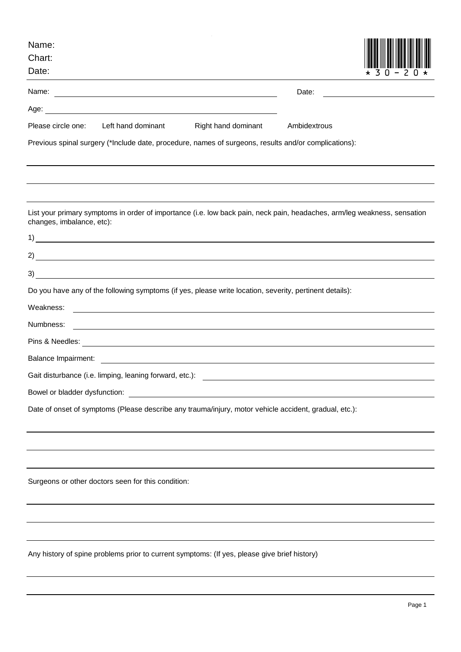| Name:<br>Chart:<br>Date:<br>3<br>$\Box$                                                                                                                                                                                                                                                                                                                                                                       |
|---------------------------------------------------------------------------------------------------------------------------------------------------------------------------------------------------------------------------------------------------------------------------------------------------------------------------------------------------------------------------------------------------------------|
| Date:<br><u> 1989 - Johann Harry Harry Harry Harry Harry Harry Harry Harry Harry Harry Harry Harry Harry Harry Harry Harry</u>                                                                                                                                                                                                                                                                                |
| Age:<br><u> 1989 - Johann Barn, mars ar breithinn ar chuid ann an t-Alban ann an t-Alban ann an t-Alban ann an t-Alban a</u>                                                                                                                                                                                                                                                                                  |
| Please circle one:<br>Left hand dominant<br>Right hand dominant<br>Ambidextrous                                                                                                                                                                                                                                                                                                                               |
| Previous spinal surgery (*Include date, procedure, names of surgeons, results and/or complications):                                                                                                                                                                                                                                                                                                          |
|                                                                                                                                                                                                                                                                                                                                                                                                               |
| List your primary symptoms in order of importance (i.e. low back pain, neck pain, headaches, arm/leg weakness, sensation<br>changes, imbalance, etc):                                                                                                                                                                                                                                                         |
| $\overline{1}$ ) $\overline{1}$ $\overline{1}$ $\overline{1}$ $\overline{1}$ $\overline{1}$ $\overline{1}$ $\overline{1}$ $\overline{1}$ $\overline{1}$ $\overline{1}$ $\overline{1}$ $\overline{1}$ $\overline{1}$ $\overline{1}$ $\overline{1}$ $\overline{1}$ $\overline{1}$ $\overline{1}$ $\overline{1}$ $\overline{1}$ $\overline{1}$ $\overline{1}$ $\overline{1}$ $\overline$                         |
| $2)$ $\overline{\phantom{a}}$                                                                                                                                                                                                                                                                                                                                                                                 |
| $3)$ and $\overline{\phantom{a}}$ and $\overline{\phantom{a}}$ and $\overline{\phantom{a}}$ and $\overline{\phantom{a}}$ and $\overline{\phantom{a}}$ and $\overline{\phantom{a}}$ and $\overline{\phantom{a}}$ and $\overline{\phantom{a}}$ and $\overline{\phantom{a}}$ and $\overline{\phantom{a}}$ and $\overline{\phantom{a}}$ and $\overline{\phantom{a}}$ and $\overline{\phantom{a}}$ and $\overline$ |
| Do you have any of the following symptoms (if yes, please write location, severity, pertinent details):                                                                                                                                                                                                                                                                                                       |
| Weakness:<br><u> 1980 - Andrea Station Barbara, actor a component de la componentación de la componentación de la componentaci</u>                                                                                                                                                                                                                                                                            |
| Numbness:                                                                                                                                                                                                                                                                                                                                                                                                     |
| Pins & Needles: <u>Design and Constantine and Constantine and Constantine and Constantine and Constantine and Co</u>                                                                                                                                                                                                                                                                                          |
| <b>Balance Impairment:</b>                                                                                                                                                                                                                                                                                                                                                                                    |
| Gait disturbance (i.e. limping, leaning forward, etc.):                                                                                                                                                                                                                                                                                                                                                       |
| Bowel or bladder dysfunction: example and a series of the series of the series of the series of the series of the series of the series of the series of the series of the series of the series of the series of the series of                                                                                                                                                                                 |
| Date of onset of symptoms (Please describe any trauma/injury, motor vehicle accident, gradual, etc.):                                                                                                                                                                                                                                                                                                         |
|                                                                                                                                                                                                                                                                                                                                                                                                               |
| Surgeons or other doctors seen for this condition:                                                                                                                                                                                                                                                                                                                                                            |
|                                                                                                                                                                                                                                                                                                                                                                                                               |
| Any history of spine problems prior to current symptoms: (If yes, please give brief history)                                                                                                                                                                                                                                                                                                                  |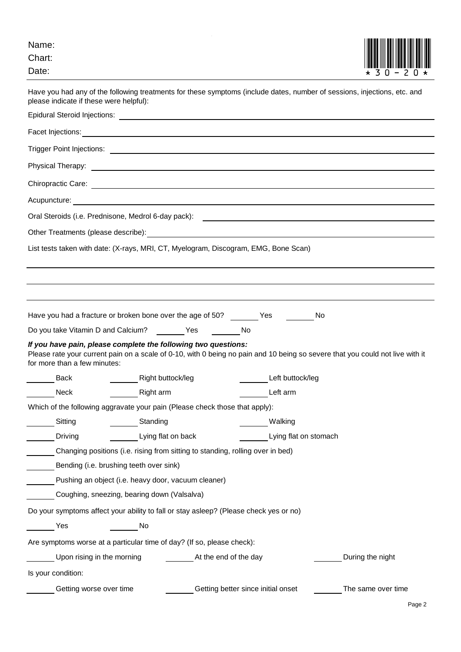| Name:<br>Chart:                                                                                |                                                                                |                                                                                                                                                                                                                                      |
|------------------------------------------------------------------------------------------------|--------------------------------------------------------------------------------|--------------------------------------------------------------------------------------------------------------------------------------------------------------------------------------------------------------------------------------|
| Date:                                                                                          |                                                                                |                                                                                                                                                                                                                                      |
| please indicate if these were helpful):                                                        |                                                                                | Have you had any of the following treatments for these symptoms (include dates, number of sessions, injections, etc. and                                                                                                             |
|                                                                                                |                                                                                |                                                                                                                                                                                                                                      |
|                                                                                                |                                                                                | Facet Injections: <u>example and a series of the series of the series of the series of the series of the series of the series of the series of the series of the series of the series of the series of the series of the series </u> |
|                                                                                                |                                                                                |                                                                                                                                                                                                                                      |
|                                                                                                |                                                                                |                                                                                                                                                                                                                                      |
|                                                                                                |                                                                                |                                                                                                                                                                                                                                      |
|                                                                                                |                                                                                |                                                                                                                                                                                                                                      |
|                                                                                                |                                                                                |                                                                                                                                                                                                                                      |
|                                                                                                |                                                                                |                                                                                                                                                                                                                                      |
| List tests taken with date: (X-rays, MRI, CT, Myelogram, Discogram, EMG, Bone Scan)            |                                                                                |                                                                                                                                                                                                                                      |
|                                                                                                |                                                                                |                                                                                                                                                                                                                                      |
|                                                                                                |                                                                                |                                                                                                                                                                                                                                      |
|                                                                                                |                                                                                |                                                                                                                                                                                                                                      |
| Have you had a fracture or broken bone over the age of 50? _______ Yes ________                |                                                                                | No                                                                                                                                                                                                                                   |
| Do you take Vitamin D and Calcium? Yes No                                                      |                                                                                |                                                                                                                                                                                                                                      |
| If you have pain, please complete the following two questions:<br>for more than a few minutes: |                                                                                | Please rate your current pain on a scale of 0-10, with 0 being no pain and 10 being so severe that you could not live with it                                                                                                        |
| Back                                                                                           | Right buttock/leg                                                              | Left buttock/leg                                                                                                                                                                                                                     |
| Neck                                                                                           | Right arm                                                                      | Left arm                                                                                                                                                                                                                             |
| Which of the following aggravate your pain (Please check those that apply):                    |                                                                                |                                                                                                                                                                                                                                      |
| Sitting                                                                                        | Standing                                                                       | Walking                                                                                                                                                                                                                              |
| Driving                                                                                        | Lying flat on back                                                             | Lying flat on stomach                                                                                                                                                                                                                |
|                                                                                                | Changing positions (i.e. rising from sitting to standing, rolling over in bed) |                                                                                                                                                                                                                                      |
| Bending (i.e. brushing teeth over sink)                                                        |                                                                                |                                                                                                                                                                                                                                      |
|                                                                                                | Pushing an object (i.e. heavy door, vacuum cleaner)                            |                                                                                                                                                                                                                                      |
|                                                                                                | Coughing, sneezing, bearing down (Valsalva)                                    |                                                                                                                                                                                                                                      |
| Do your symptoms affect your ability to fall or stay asleep? (Please check yes or no)          |                                                                                |                                                                                                                                                                                                                                      |
| Yes                                                                                            | No                                                                             |                                                                                                                                                                                                                                      |
| Are symptoms worse at a particular time of day? (If so, please check):                         |                                                                                |                                                                                                                                                                                                                                      |
| Upon rising in the morning                                                                     |                                                                                | During the night<br>At the end of the day                                                                                                                                                                                            |
| Is your condition:                                                                             |                                                                                |                                                                                                                                                                                                                                      |
| Getting worse over time                                                                        |                                                                                | Getting better since initial onset<br>The same over time                                                                                                                                                                             |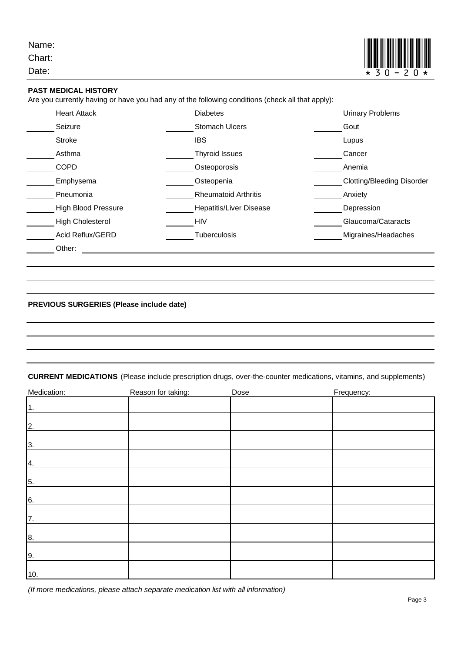Name:

Chart:



#### **PAST MEDICAL HISTORY**

Are you currently having or have you had any of the following conditions (check all that apply):

| <b>Heart Attack</b>        | <b>Diabetes</b>                | <b>Urinary Problems</b>           |
|----------------------------|--------------------------------|-----------------------------------|
| Seizure                    | <b>Stomach Ulcers</b>          | Gout                              |
| Stroke                     | <b>IBS</b>                     | Lupus                             |
| Asthma                     | <b>Thyroid Issues</b>          | Cancer                            |
| <b>COPD</b>                | Osteoporosis                   | Anemia                            |
| Emphysema                  | Osteopenia                     | <b>Clotting/Bleeding Disorder</b> |
| Pneumonia                  | <b>Rheumatoid Arthritis</b>    | Anxiety                           |
| <b>High Blood Pressure</b> | <b>Hepatitis/Liver Disease</b> | Depression                        |
| <b>High Cholesterol</b>    | HIV                            | Glaucoma/Cataracts                |
| Acid Reflux/GERD           | Tuberculosis                   | Migraines/Headaches               |
| Other:                     |                                |                                   |

#### **PREVIOUS SURGERIES (Please include date)**

## **CURRENT MEDICATIONS** (Please include prescription drugs, over-the-counter medications, vitamins, and supplements)

| Medication:   | Reason for taking: | Dose | Frequency: |
|---------------|--------------------|------|------------|
| $\mathbf 1$ . |                    |      |            |
| 2.            |                    |      |            |
| 3.            |                    |      |            |
| 4.            |                    |      |            |
| 5.            |                    |      |            |
| 6.            |                    |      |            |
|               |                    |      |            |
| 7.            |                    |      |            |
| 8.            |                    |      |            |
| 9.            |                    |      |            |
| 10.           |                    |      |            |

*(If more medications, please attach separate medication list with all information)*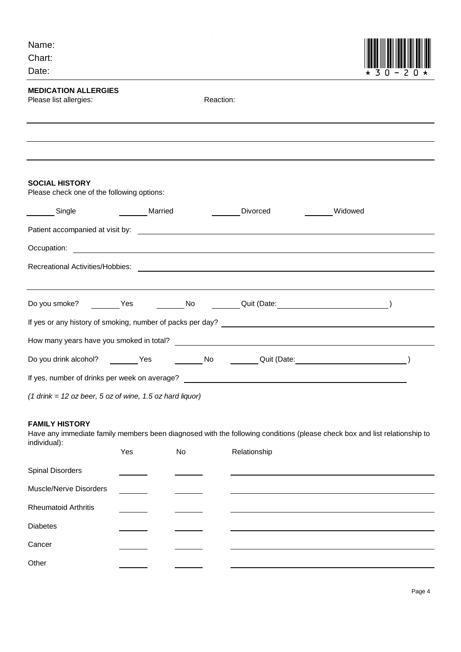| Name:                                                                                      |         |                                                           |                                                                                                                                    |                |
|--------------------------------------------------------------------------------------------|---------|-----------------------------------------------------------|------------------------------------------------------------------------------------------------------------------------------------|----------------|
| Chart:                                                                                     |         |                                                           |                                                                                                                                    |                |
| Date:                                                                                      |         |                                                           |                                                                                                                                    | $50-$<br>2 O * |
| <b>MEDICATION ALLERGIES</b><br>Please list allergies:                                      |         | Reaction:                                                 |                                                                                                                                    |                |
|                                                                                            |         |                                                           |                                                                                                                                    |                |
|                                                                                            |         |                                                           |                                                                                                                                    |                |
|                                                                                            |         |                                                           |                                                                                                                                    |                |
| <b>SOCIAL HISTORY</b><br>Please check one of the following options:                        |         |                                                           |                                                                                                                                    |                |
| <b>Single</b>                                                                              | Married | $\mathcal{L}^{\text{max}}$ and $\mathcal{L}^{\text{max}}$ | Divorced                                                                                                                           | Widowed        |
|                                                                                            |         |                                                           |                                                                                                                                    |                |
|                                                                                            |         |                                                           |                                                                                                                                    |                |
|                                                                                            |         |                                                           |                                                                                                                                    |                |
|                                                                                            |         |                                                           |                                                                                                                                    |                |
|                                                                                            |         |                                                           |                                                                                                                                    |                |
|                                                                                            |         |                                                           | If yes or any history of smoking, number of packs per day?<br>The manuscript of the state of packs and the state of packs per day? |                |
|                                                                                            |         |                                                           |                                                                                                                                    |                |
| Do you drink alcohol? Yes                                                                  |         |                                                           | No Cuit (Date: 2008)                                                                                                               |                |
| If yes, number of drinks per week on average?                                              |         |                                                           |                                                                                                                                    |                |
| $(1 \text{ drink} = 12 \text{ oz beer}, 5 \text{ oz of wine}, 1.5 \text{ oz hard liquor})$ |         |                                                           |                                                                                                                                    |                |
| <b>FAMILY HISTORY</b>                                                                      |         |                                                           | Have any immediate family members been diagnosed with the following conditions (please check box and list relationship to          |                |
| individual):                                                                               | Yes     | No                                                        | Relationship                                                                                                                       |                |
| <b>Spinal Disorders</b>                                                                    |         |                                                           |                                                                                                                                    |                |
| Muscle/Nerve Disorders                                                                     |         |                                                           |                                                                                                                                    |                |

Rheumatoid Arthritis

 $\overline{\phantom{a}}$ 

 $\overline{\phantom{a}}$ 

L

٠

 $\overline{\phantom{a}}$ 

L,

 $\sim$ 

 $\overline{a}$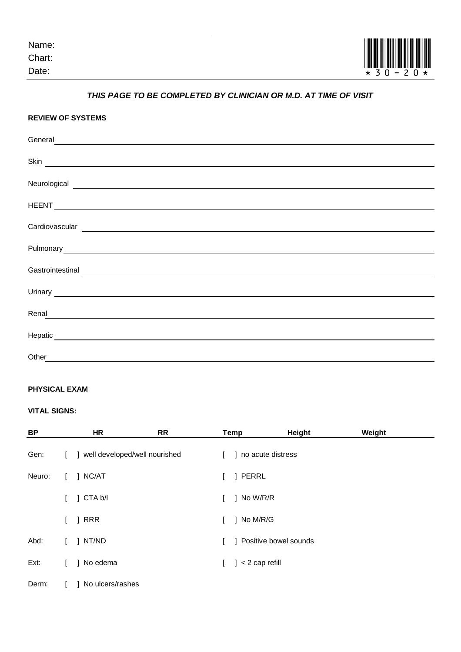| Name: |
|-------|
|-------|

Chart: Date:



## *THIS PAGE TO BE COMPLETED BY CLINICIAN OR M.D. AT TIME OF VISIT*

| <b>REVIEW OF SYSTEMS</b>                                                                                                                                                                                                             |
|--------------------------------------------------------------------------------------------------------------------------------------------------------------------------------------------------------------------------------------|
| General experiments and the set of the set of the set of the set of the set of the set of the set of the set of the set of the set of the set of the set of the set of the set of the set of the set of the set of the set of        |
| Skin <u>and the second control of the second control of the second control of the second control of the second control of the second control of the second control of the second control of the second control of the second con</u> |
| Neurological experiments and the contract of the contract of the contract of the contract of the contract of the contract of the contract of the contract of the contract of the contract of the contract of the contract of t       |
|                                                                                                                                                                                                                                      |
|                                                                                                                                                                                                                                      |
| Pulmonary Pulmonary Pulmonary Pulmonary Pulmonary Pulmonary Pulmonary Pulmonary Pulmonary Pulmonary Pulmonary Pulmonary Pulmonary Pulmonary Pulmonary Pulmonary Pulmonary Pulmonary Pulmonary Pulmonary Pulmonary Pulmonary Pu       |
| Gastrointestinal experience and the contract of the contract of the contract of the contract of the contract of the contract of the contract of the contract of the contract of the contract of the contract of the contract o       |
|                                                                                                                                                                                                                                      |
| Renal <u>experience</u> and the contract of the contract of the contract of the contract of the contract of the contract of the contract of the contract of the contract of the contract of the contract of the contract of the con  |
|                                                                                                                                                                                                                                      |
| Other                                                                                                                                                                                                                                |

### **PHYSICAL EXAM**

## **VITAL SIGNS:**

| <b>BP</b> |              | <b>HR</b>                     | <b>RR</b> |              | Temp                    | <b>Height</b> | Weight |
|-----------|--------------|-------------------------------|-----------|--------------|-------------------------|---------------|--------|
| Gen:      | $\mathbf{L}$ | well developed/well nourished |           | $\mathbf{L}$ | 1 no acute distress     |               |        |
| Neuro:    |              | NC/AT                         |           |              | PERRL                   |               |        |
|           |              | CTA b/l                       |           |              | No W/R/R                |               |        |
|           |              | <b>RRR</b>                    |           |              | No M/R/G                |               |        |
| Abd:      |              | NT/ND                         |           |              | ] Positive bowel sounds |               |        |
| Ext:      | $\mathbf{L}$ | No edema                      |           | L            | < 2 cap refill          |               |        |
| Derm:     |              | No ulcers/rashes              |           |              |                         |               |        |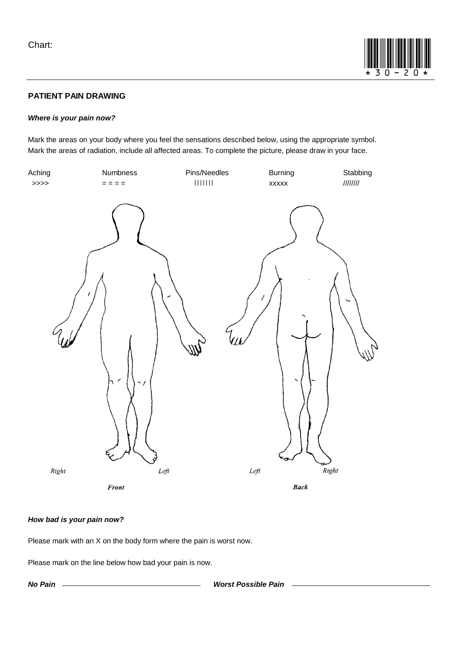Chart:



## **PATIENT PAIN DRAWING**

#### *Where is your pain now?*

Mark the areas on your body where you feel the sensations described below, using the appropriate symbol. Mark the areas of radiation, include all affected areas. To complete the picture, please draw in your face.



#### *How bad is your pain now?*

Please mark with an X on the body form where the pain is worst now.

Please mark on the line below how bad your pain is now.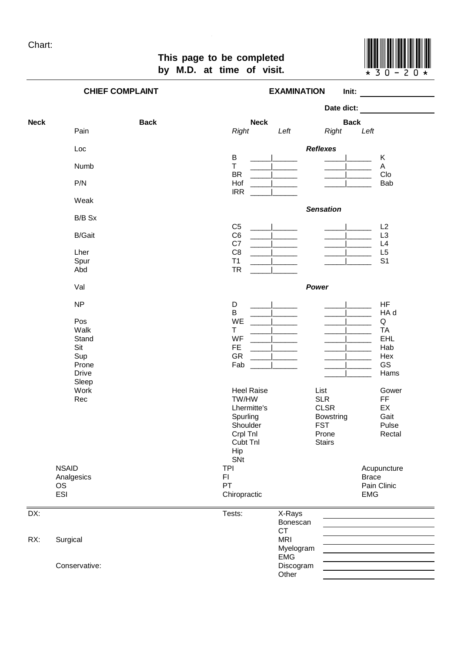# This page to be completed<br>by M.D. at time of visit.  $\begin{bmatrix} 1 & 0 & 0 \\ 0 & 1 & 0 \\ 0 & 0 & 0 \end{bmatrix}$ **by M.D. at time of visit.**



**CHIEF COMPLAINT EXAMINATION Init: Date dict: Neck Back Neck Back** Pain *Right Left Right Left* Loc *Reflexes* B \_\_\_\_\_|\_\_\_\_\_\_ \_\_\_\_\_|\_\_\_\_\_\_ K Numb T \_\_\_\_\_|\_\_\_\_\_\_ \_\_\_\_\_|\_\_\_\_\_\_ A BR \_\_\_\_\_|\_\_\_\_\_\_\_ \_\_\_\_\_|\_\_\_\_\_\_ Clo P/N Hof \_\_\_\_\_|\_\_\_\_\_\_ \_\_\_\_\_|\_\_\_\_\_\_ Bab IRR \_\_\_\_\_|\_\_\_\_\_\_ Weak *Sensation* B/B Sx C5 \_\_\_\_\_\_|\_\_\_\_\_\_\_ \_\_\_\_\_\_\_\_\_\_\_\_\_\_ L2 B/Gait C6 \_\_\_\_\_|\_\_\_\_\_\_ \_\_\_\_\_|\_\_\_\_\_\_ L3 C7 \_\_\_\_\_|\_\_\_\_\_\_ \_\_\_\_\_|\_\_\_\_\_\_ L4 Lher C8 \_\_\_\_\_|\_\_\_\_\_\_ \_\_\_\_\_|\_\_\_\_\_\_ L5 Spur T1 \_\_\_\_\_\_|\_\_\_\_\_\_\_ \_\_\_\_\_|\_\_\_\_\_\_\_ S1 Abd TR \_\_\_\_\_|\_\_\_\_\_\_ Val *Power* NP D <u>\_\_\_\_\_|\_\_\_\_\_\_</u> \_\_\_\_\_|\_\_\_\_\_\_\_ HF B \_\_\_\_\_|\_\_\_\_\_\_ \_\_\_\_\_|\_\_\_\_\_\_ HA d Pos WE \_\_\_\_\_|\_\_\_\_\_\_ \_\_\_\_\_|\_\_\_\_\_\_ Q Walk T \_\_\_\_\_|\_\_\_\_\_\_ \_\_\_\_\_|\_\_\_\_\_\_ TA Stand WF \_\_\_\_\_\_|\_\_\_\_\_\_ \_\_\_\_\_|\_\_\_\_\_\_\_ EHL Sit FE \_\_\_\_\_\_|\_\_\_\_\_\_\_ \_\_\_\_\_\_|\_\_\_\_\_\_\_ Hab Sup GR \_\_\_\_\_|\_\_\_\_\_\_ \_\_\_\_\_|\_\_\_\_\_\_ Hex Prone Fab \_\_\_\_\_|\_\_\_\_\_\_ \_\_\_\_\_|\_\_\_\_\_\_ GS Drive \_\_\_\_\_|\_\_\_\_\_\_ Hams Sleep Work Mondale Marked Raise Marked List Gower<br>
Rec FF TW/HW SLR FF Rec TW/HW SLR FF Lhermitte's CLSR EX Spurling Bowstring Gait Shoulder FST Pulse Crpl Tnl **Prone** Rectal Cubt Tnl Stairs Hip **SNt** NSAID TPI Requirement of the Contract of the Contract of the Contract of the Contract of the Contract of the Contract of the Contract of the Contract of the Contract of the Contract of the Contract of the Contract of the C Analgesics **EXECUTE:** FI Brace OS PT PT PAIN Clinic POS ESI EMG DX: Tests: X-Rays Bonescan CT<br>MRI RX: Surgical Myelogram EMG<br>Discogram Conservative: **Other**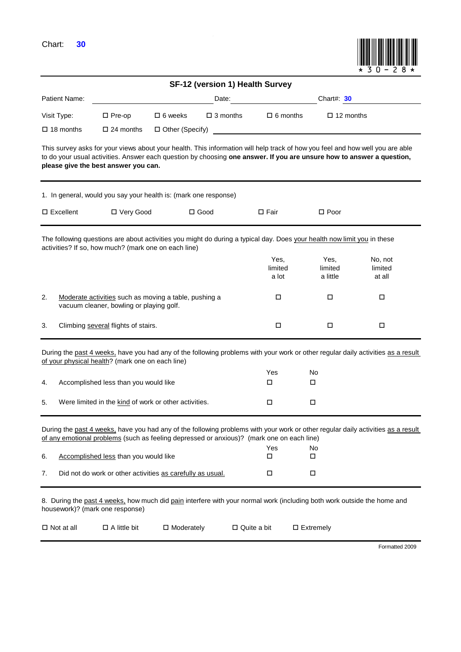Chart: **30**



|                                                                                                                                                                                 |                                                            |                   |                 | SF-12 (version 1) Health Survey |                          |                             |                                                                                                                                                                                                                                                        |  |
|---------------------------------------------------------------------------------------------------------------------------------------------------------------------------------|------------------------------------------------------------|-------------------|-----------------|---------------------------------|--------------------------|-----------------------------|--------------------------------------------------------------------------------------------------------------------------------------------------------------------------------------------------------------------------------------------------------|--|
| Patient Name:<br>Date:                                                                                                                                                          |                                                            |                   |                 |                                 |                          | Chart#: $30$                |                                                                                                                                                                                                                                                        |  |
| Visit Type:                                                                                                                                                                     | $\square$ Pre-op                                           | $\Box$ 6 weeks    | $\Box$ 3 months |                                 | $\Box$ 6 months          | $\Box$ 12 months            |                                                                                                                                                                                                                                                        |  |
| $\Box$ 18 months                                                                                                                                                                | $\square$ 24 months                                        | □ Other (Specify) |                 |                                 |                          |                             |                                                                                                                                                                                                                                                        |  |
| please give the best answer you can.                                                                                                                                            |                                                            |                   |                 |                                 |                          |                             | This survey asks for your views about your health. This information will help track of how you feel and how well you are able<br>to do your usual activities. Answer each question by choosing one answer. If you are unsure how to answer a question, |  |
| 1. In general, would you say your health is: (mark one response)                                                                                                                |                                                            |                   |                 |                                 |                          |                             |                                                                                                                                                                                                                                                        |  |
| $\square$ Excellent                                                                                                                                                             | □ Very Good                                                |                   | $\Box$ Good     | $\square$ Fair                  |                          | $\Box$ Poor                 |                                                                                                                                                                                                                                                        |  |
| The following questions are about activities you might do during a typical day. Does your health now limit you in these<br>activities? If so, how much? (mark one on each line) |                                                            |                   |                 |                                 |                          |                             |                                                                                                                                                                                                                                                        |  |
|                                                                                                                                                                                 |                                                            |                   |                 |                                 | Yes,<br>limited<br>a lot | Yes,<br>limited<br>a little | No, not<br>limited<br>at all                                                                                                                                                                                                                           |  |
| 2.<br>Moderate activities such as moving a table, pushing a<br>vacuum cleaner, bowling or playing golf.                                                                         |                                                            | □                 |                 | □                               |                          |                             |                                                                                                                                                                                                                                                        |  |
| 3.                                                                                                                                                                              | Climbing several flights of stairs.                        |                   |                 |                                 | $\Box$<br>$\Box$         |                             | П                                                                                                                                                                                                                                                      |  |
| of your physical health? (mark one on each line)                                                                                                                                |                                                            |                   |                 |                                 |                          |                             | During the past 4 weeks, have you had any of the following problems with your work or other regular daily activities as a result                                                                                                                       |  |
|                                                                                                                                                                                 |                                                            |                   |                 | Yes                             | No                       |                             |                                                                                                                                                                                                                                                        |  |
| 4.                                                                                                                                                                              | Accomplished less than you would like                      |                   |                 | □                               | □                        |                             |                                                                                                                                                                                                                                                        |  |
| 5.                                                                                                                                                                              | Were limited in the kind of work or other activities.      |                   |                 | □                               | □                        |                             |                                                                                                                                                                                                                                                        |  |
| of any emotional problems (such as feeling depressed or anxious)? (mark one on each line)                                                                                       |                                                            |                   |                 | Yes                             | No                       |                             | During the past 4 weeks, have you had any of the following problems with your work or other regular daily activities as a result                                                                                                                       |  |
| 6.                                                                                                                                                                              | Accomplished less than you would like                      |                   |                 | □                               | □                        |                             |                                                                                                                                                                                                                                                        |  |
| 7.                                                                                                                                                                              | Did not do work or other activities as carefully as usual. |                   |                 | □                               | □                        |                             |                                                                                                                                                                                                                                                        |  |
| housework)? (mark one response)                                                                                                                                                 |                                                            |                   |                 |                                 |                          |                             | 8. During the past 4 weeks, how much did pain interfere with your normal work (including both work outside the home and                                                                                                                                |  |
| $\Box$ Not at all                                                                                                                                                               | $\Box$ A little bit                                        | $\Box$ Moderately |                 | $\Box$ Quite a bit              | $\square$ Extremely      |                             |                                                                                                                                                                                                                                                        |  |
|                                                                                                                                                                                 |                                                            |                   |                 |                                 |                          |                             | Formatted 2009                                                                                                                                                                                                                                         |  |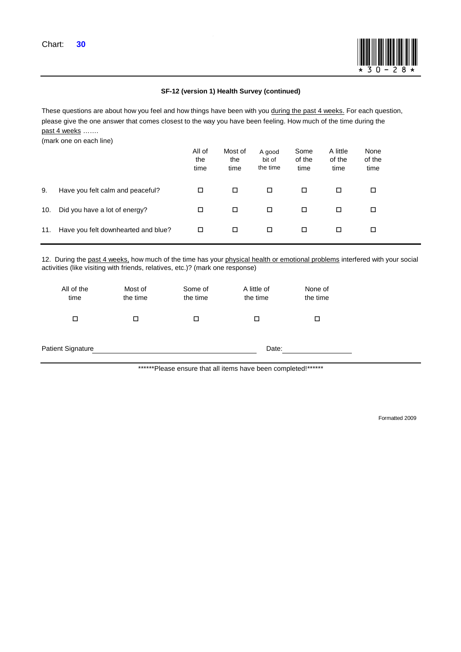

#### **SF-12 (version 1) Health Survey (continued)**

These questions are about how you feel and how things have been with you during the past 4 weeks. For each question, please give the one answer that comes closest to the way you have been feeling. How much of the time during the past 4 weeks .......

(mark one on each line)

|     |                                     | All of<br>the<br>time | Most of<br>the<br>time | A good<br>bit of<br>the time | Some<br>of the<br>time | A little<br>of the<br>time | None<br>of the<br>time |
|-----|-------------------------------------|-----------------------|------------------------|------------------------------|------------------------|----------------------------|------------------------|
| 9.  | Have you felt calm and peaceful?    | □                     | □                      | □                            | □                      | П                          | □                      |
| 10. | Did you have a lot of energy?       | □                     | □                      | □                            | □                      | П                          | □                      |
| 11. | Have you felt downhearted and blue? | □                     | ◻                      | □                            | □                      | □                          | □                      |

12. During the past 4 weeks, how much of the time has your physical health or emotional problems interfered with your social activities (like visiting with friends, relatives, etc.)? (mark one response)

| All of the<br>time | Most of<br>the time | Some of<br>the time | A little of<br>the time | None of<br>the time |  |
|--------------------|---------------------|---------------------|-------------------------|---------------------|--|
| П                  | □                   | □                   |                         | ◻                   |  |
| Patient Signature  |                     |                     | Date:                   |                     |  |

\*\*\*\*\*\*Please ensure that all items have been completed!\*\*\*\*\*\*

Formatted 2009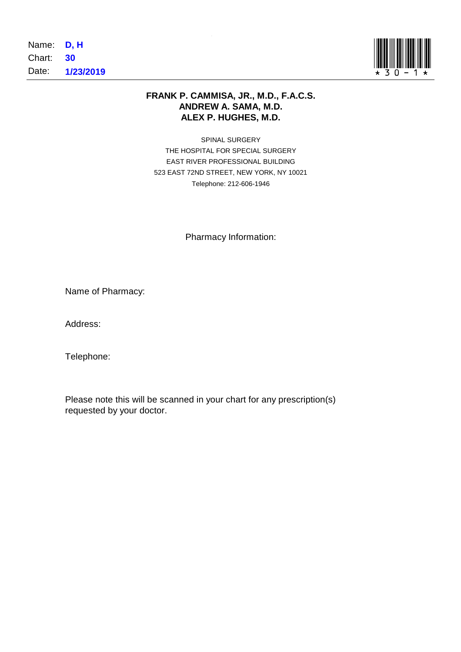

# **FRANK P. CAMMISA, JR., M.D., F.A.C.S. ANDREW A. SAMA, M.D. ALEX P. HUGHES, M.D.**

SPINAL SURGERY THE HOSPITAL FOR SPECIAL SURGERY EAST RIVER PROFESSIONAL BUILDING 523 EAST 72ND STREET, NEW YORK, NY 10021 Telephone: 212-606-1946

# Pharmacy Information:

Name of Pharmacy:

Address:

Telephone:

Please note this will be scanned in your chart for any prescription(s) requested by your doctor.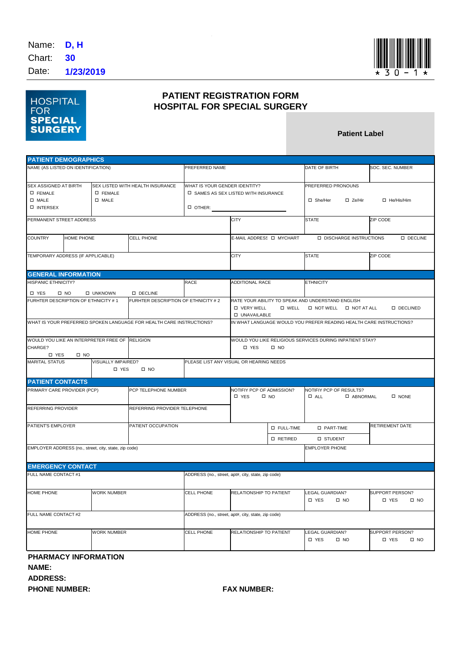

# **HOSPITAL FOR SPECIAL SURGERY**

# **PATIENT REGISTRATION FORM HOSPITAL FOR SPECIAL SURGERY**

**Patient Label**

| <b>PATIENT DEMOGRAPHICS</b>                                          |                                    |                                     |                               |                                                    |                       |                                                                      |                       |  |
|----------------------------------------------------------------------|------------------------------------|-------------------------------------|-------------------------------|----------------------------------------------------|-----------------------|----------------------------------------------------------------------|-----------------------|--|
| NAME (AS LISTED ON IDENTIFICATION)                                   |                                    | PREFERRED NAME                      |                               |                                                    | DATE OF BIRTH         | SOC. SEC. NUMBER                                                     |                       |  |
| SEX ASSIGNED AT BIRTH                                                |                                    | SEX LISTED WITH HEALTH INSURANCE    | WHAT IS YOUR GENDER IDENTITY? |                                                    |                       | PREFERRED PRONOUNS                                                   |                       |  |
| <b>D</b> FEMALE                                                      | <b>O</b> FEMALE                    |                                     |                               | □ SAMES AS SEX LISTED WITH INSURANCE               |                       |                                                                      |                       |  |
| <b>D</b> MALE                                                        | <b>D</b> MALE                      |                                     |                               |                                                    |                       | □ She/Her<br>$\square$ Ze/Hir                                        | □ He/His/Him          |  |
| <b>D</b> INTERSEX                                                    |                                    |                                     | $\square$ OTHER:              |                                                    |                       |                                                                      |                       |  |
| PERMANENT STREET ADDRESS                                             |                                    |                                     | <b>CITY</b><br><b>STATE</b>   |                                                    |                       | ZIP CODE                                                             |                       |  |
| <b>COUNTRY</b><br>HOME PHONE                                         |                                    | CELL PHONE                          |                               | E-MAIL ADDRESS O MYCHART                           |                       | <b>IDISCHARGE INSTRUCTIONS</b>                                       | <b>D</b> DECLINE      |  |
| TEMPORARY ADDRESS (IF APPLICABLE)                                    |                                    |                                     |                               | <b>CITY</b>                                        |                       | <b>STATE</b>                                                         | ZIP CODE              |  |
|                                                                      |                                    |                                     |                               |                                                    |                       |                                                                      |                       |  |
| <b>GENERAL INFORMATION</b>                                           |                                    |                                     |                               |                                                    |                       |                                                                      |                       |  |
| <b>HISPANIC ETHNICITY?</b>                                           |                                    |                                     | RACE                          | <b>ADDITIONAL RACE</b>                             |                       | <b>ETHNICITY</b>                                                     |                       |  |
| <b>D</b> YES<br>$\square$ NO                                         | <b>II UNKNOWN</b>                  | <b>D</b> DECLINE                    |                               |                                                    |                       |                                                                      |                       |  |
| FURHTER DESCRIPTION OF ETHNICITY #1                                  |                                    | FURHTER DESCRIPTION OF ETHNICITY #2 |                               |                                                    |                       | RATE YOUR ABILITY TO SPEAK AND UNDERSTAND ENGLISH                    |                       |  |
|                                                                      |                                    |                                     |                               | <b>D</b> VERY WELL<br><b>D UNAVAILABLE</b>         | $\square$ WELL        | □ NOT WELL □ NOT AT ALL                                              | <b>ID DECLINED</b>    |  |
| WHAT IS YOUR PREFERRED SPOKEN LANGUAGE FOR HEALTH CARE INSTRUCTIONS? |                                    |                                     |                               |                                                    |                       | IN WHAT LANGUAGE WOULD YOU PREFER READING HEALTH CARE INSTRUCTIONS?  |                       |  |
|                                                                      |                                    |                                     |                               |                                                    |                       |                                                                      |                       |  |
| WOULD YOU LIKE AN INTERPRETER FREE OF RELIGION                       |                                    |                                     |                               |                                                    |                       | WOULD YOU LIKE RELIGIOUS SERVICES DURING INPATIENT STAY?             |                       |  |
| CHARGE?                                                              |                                    |                                     | <b>D</b> YES<br>$\square$ NO  |                                                    |                       |                                                                      |                       |  |
| $\square$ NO<br><b>D</b> YES                                         |                                    |                                     |                               |                                                    |                       |                                                                      |                       |  |
| <b>MARITAL STATUS</b>                                                | VISUALLY IMPAIRED?<br><b>D</b> YES | $\square$ NO                        |                               | PLEASE LIST ANY VISUAL OR HEARING NEEDS            |                       |                                                                      |                       |  |
|                                                                      |                                    |                                     |                               |                                                    |                       |                                                                      |                       |  |
| <b>PATIENT CONTACTS</b>                                              |                                    |                                     |                               |                                                    |                       |                                                                      |                       |  |
| PRIMARY CARE PROVIDER (PCP)                                          |                                    | PCP TELEPHONE NUMBER                |                               | NOTIFIY PCP OF ADMISSION?<br>□ YES<br>$\square$ NO |                       | NOTIFIY PCP OF RESULTS?<br>$\Box$ ALL<br>D ABNORMAL<br><b>D</b> NONE |                       |  |
| REFERRING PROVIDER                                                   |                                    |                                     | REFERRING PROVIDER TELEPHONE  |                                                    |                       |                                                                      |                       |  |
| PATIENT'S EMPLOYER                                                   |                                    | PATIENT OCCUPATION                  |                               | <b>D</b> FULL-TIME<br><b>D RETIRED</b>             |                       | <b>D</b> PART-TIME                                                   | RETIREMENT DATE       |  |
|                                                                      |                                    |                                     |                               |                                                    |                       | <b>D</b> STUDENT                                                     |                       |  |
| EMPLOYER ADDRESS (no., street, city, state, zip code)                |                                    |                                     |                               |                                                    |                       | <b>EMPLOYER PHONE</b>                                                |                       |  |
|                                                                      |                                    |                                     |                               |                                                    |                       |                                                                      |                       |  |
| <b>EMERGENCY CONTACT</b>                                             |                                    |                                     |                               |                                                    |                       |                                                                      |                       |  |
| FULL NAME CONTACT #1                                                 |                                    |                                     |                               | ADDRESS (no., street, apt#, city, state, zip code) |                       |                                                                      |                       |  |
| <b>HOME PHONE</b>                                                    | <b>WORK NUMBER</b>                 |                                     |                               | RELATIONSHIP TO PATIENT                            |                       | LEGAL GUARDIAN?                                                      | SUPPORT PERSON?       |  |
|                                                                      |                                    | CELL PHONE                          |                               | <b>D</b> YES<br>$\square$ NO                       | □ YES<br>$\square$ NO |                                                                      |                       |  |
| FULL NAME CONTACT #2                                                 |                                    |                                     |                               | ADDRESS (no., street, apt#, city, state, zip code) |                       |                                                                      |                       |  |
| HOME PHONE<br><b>WORK NUMBER</b>                                     |                                    | <b>CELL PHONE</b>                   |                               | RELATIONSHIP TO PATIENT                            |                       | LEGAL GUARDIAN?                                                      | SUPPORT PERSON?       |  |
|                                                                      |                                    |                                     |                               |                                                    |                       | □ YES<br>$\square$ NO                                                | □ YES<br>$\square$ NO |  |
| <b>PHARMACY INFORMATION</b>                                          |                                    |                                     |                               |                                                    |                       |                                                                      |                       |  |

**NAME: ADDRESS: PHONE NUMBER:** FAX NUMBER: